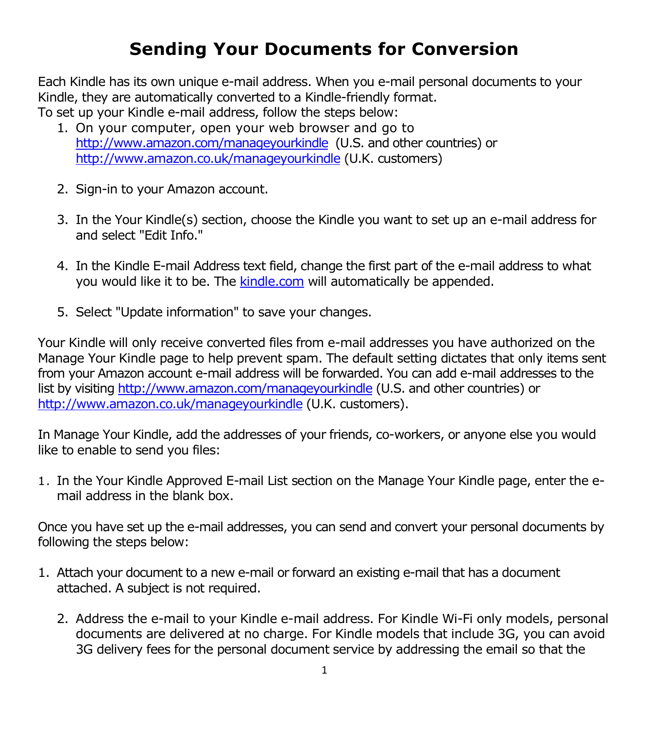# **Sending Your Documents for Conversion**

Each Kindle has its own unique e-mail address. When you e-mail personal documents to your Kindle, they are automatically converted to a Kindle-friendly format. To set up your Kindle e-mail address, follow the steps below:

- 1. On your computer, open your web browser and go to <http://www.amazon.com/manageyourkindle> (U.S. and other countries) or <http://www.amazon.co.uk/manageyourkindle> (U.K. customers)
- 2. Sign-in to your Amazon account.
- 3. In the Your Kindle(s) section, choose the Kindle you want to set up an e-mail address for and select "Edit Info."
- 4. In the Kindle E-mail Address text field, change the first part of the e-mail address to what you would like it to be. The [kindle.com](http://kindle.com/) will automatically be appended.
- 5. Select "Update information" to save your changes.

Your Kindle will only receive converted files from e-mail addresses you have authorized on the Manage Your Kindle page to help prevent spam. The default setting dictates that only items sent from your Amazon account e-mail address will be forwarded. You can add e-mail addresses to the list by visiting<http://www.amazon.com/manageyourkindle> (U.S. and other countries) or <http://www.amazon.co.uk/manageyourkindle> (U.K. customers).

In Manage Your Kindle, add the addresses of your friends, co-workers, or anyone else you would like to enable to send you files:

1. In the Your Kindle Approved E-mail List section on the Manage Your Kindle page, enter the email address in the blank box.

Once you have set up the e-mail addresses, you can send and convert your personal documents by following the steps below:

- 1. Attach your document to a new e-mail or forward an existing e-mail that has a document attached. A subject is not required.
	- 2. Address the e-mail to your Kindle e-mail address. For Kindle Wi-Fi only models, personal documents are delivered at no charge. For Kindle models that include 3G, you can avoid 3G delivery fees for the personal document service by addressing the email so that the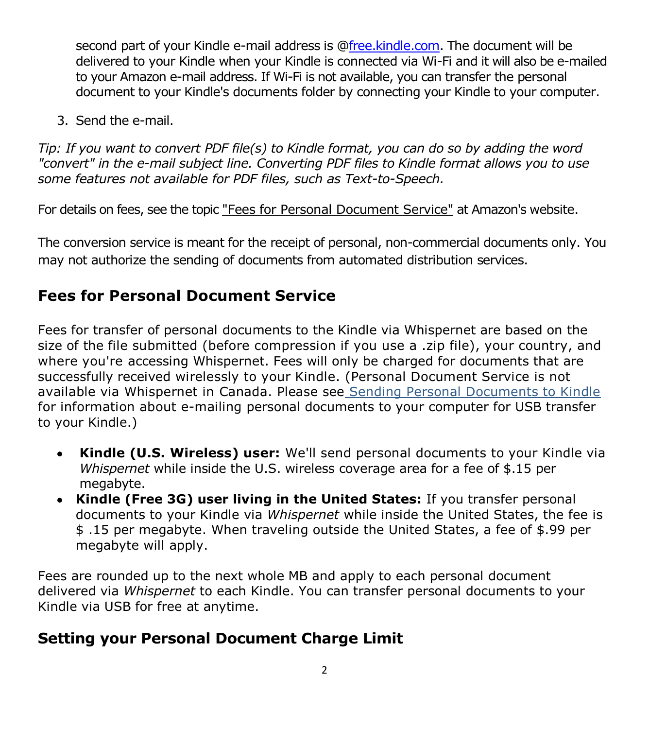second part of your Kindle e-mail address is [@free.kindle.com.](http://free.kindle.com/) The document will be delivered to your Kindle when your Kindle is connected via Wi-Fi and it will also be e-mailed to your Amazon e-mail address. If Wi-Fi is not available, you can transfer the personal document to your Kindle's documents folder by connecting your Kindle to your computer.

3. Send the e-mail.

*Tip: If you want to convert PDF file(s) to Kindle format, you can do so by adding the word "convert" in the e-mail subject line. Converting PDF files to Kindle format allows you to use some features not available for PDF files, such as Text-to-Speech.*

For details on fees, see the topic "Fees for Personal Document Service" at Amazon's website.

The conversion service is meant for the receipt of personal, non-commercial documents only. You may not authorize the sending of documents from automated distribution services.

## **Fees for Personal Document Service**

Fees for transfer of personal documents to the Kindle via Whispernet are based on the size of the file submitted (before compression if you use a .zip file), your country, and where you're accessing Whispernet. Fees will only be charged for documents that are successfully received wirelessly to your Kindle. (Personal Document Service is not available via Whispernet in Canada. Please see Sending Personal Documents to Kindle for information about e-mailing personal documents to your computer for USB transfer to your Kindle.)

- **Kindle (U.S. Wireless) user:** We'll send personal documents to your Kindle via *Whispernet* while inside the U.S. wireless coverage area for a fee of \$.15 per megabyte.
- **Kindle (Free 3G) user living in the United States:** If you transfer personal documents to your Kindle via *Whispernet* while inside the United States, the fee is \$ .15 per megabyte. When traveling outside the United States, a fee of \$.99 per megabyte will apply.

Fees are rounded up to the next whole MB and apply to each personal document delivered via *Whispernet* to each Kindle. You can transfer personal documents to your Kindle via USB for free at anytime.

## **Setting your Personal Document Charge Limit**